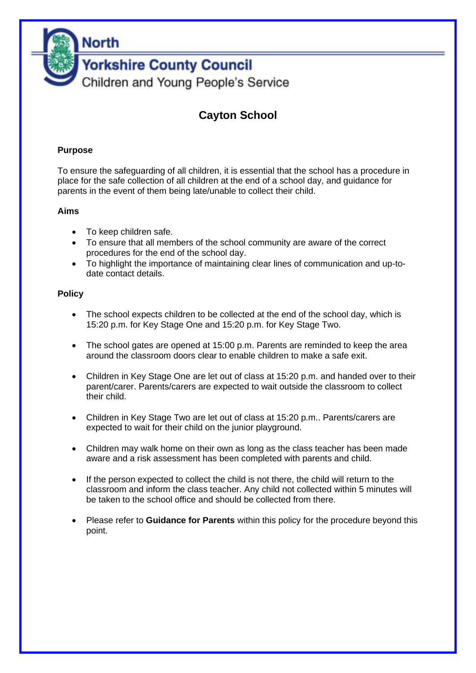

# **Cayton School**

#### **Purpose**

To ensure the safeguarding of all children, it is essential that the school has a procedure in place for the safe collection of all children at the end of a school day, and guidance for parents in the event of them being late/unable to collect their child.

#### **Aims**

- To keep children safe.
- To ensure that all members of the school community are aware of the correct procedures for the end of the school day.
- To highlight the importance of maintaining clear lines of communication and up-todate contact details.

#### **Policy**

- The school expects children to be collected at the end of the school day, which is 15:20 p.m. for Key Stage One and 15:20 p.m. for Key Stage Two.
- The school gates are opened at 15:00 p.m. Parents are reminded to keep the area around the classroom doors clear to enable children to make a safe exit.
- Children in Key Stage One are let out of class at 15:20 p.m. and handed over to their parent/carer. Parents/carers are expected to wait outside the classroom to collect their child.
- Children in Key Stage Two are let out of class at 15:20 p.m.. Parents/carers are expected to wait for their child on the junior playground.
- Children may walk home on their own as long as the class teacher has been made aware and a risk assessment has been completed with parents and child.
- If the person expected to collect the child is not there, the child will return to the classroom and inform the class teacher. Any child not collected within 5 minutes will be taken to the school office and should be collected from there.
- Please refer to **Guidance for Parents** within this policy for the procedure beyond this point.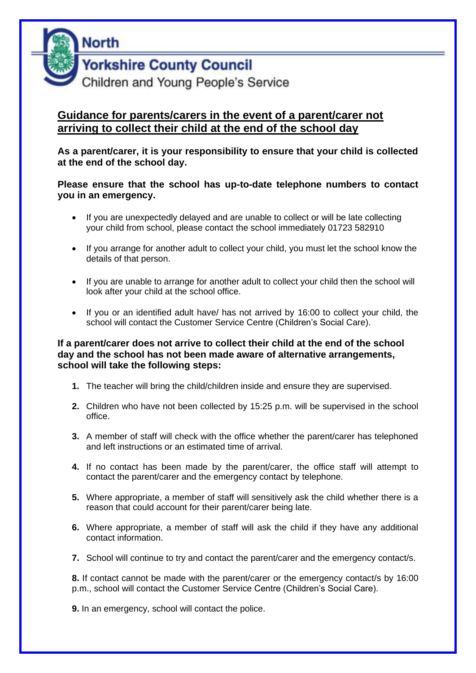

## **Guidance for parents/carers in the event of a parent/carer not arriving to collect their child at the end of the school day**

**As a parent/carer, it is your responsibility to ensure that your child is collected at the end of the school day.**

**Please ensure that the school has up-to-date telephone numbers to contact you in an emergency.** 

- If you are unexpectedly delayed and are unable to collect or will be late collecting your child from school, please contact the school immediately 01723 582910
- If you arrange for another adult to collect your child, you must let the school know the details of that person.
- If you are unable to arrange for another adult to collect your child then the school will look after your child at the school office.
- If you or an identified adult have/ has not arrived by 16:00 to collect your child, the school will contact the Customer Service Centre (Children's Social Care).

#### **If a parent/carer does not arrive to collect their child at the end of the school day and the school has not been made aware of alternative arrangements, school will take the following steps:**

- **1.** The teacher will bring the child/children inside and ensure they are supervised.
- **2.** Children who have not been collected by 15:25 p.m. will be supervised in the school office.
- **3.** A member of staff will check with the office whether the parent/carer has telephoned and left instructions or an estimated time of arrival.
- **4.** If no contact has been made by the parent/carer, the office staff will attempt to contact the parent/carer and the emergency contact by telephone.
- **5.** Where appropriate, a member of staff will sensitively ask the child whether there is a reason that could account for their parent/carer being late.
- **6.** Where appropriate, a member of staff will ask the child if they have any additional contact information.
- **7.** School will continue to try and contact the parent/carer and the emergency contact/s.

**8.** If contact cannot be made with the parent/carer or the emergency contact/s by 16:00 p.m., school will contact the Customer Service Centre (Children's Social Care).

**9.** In an emergency, school will contact the police.